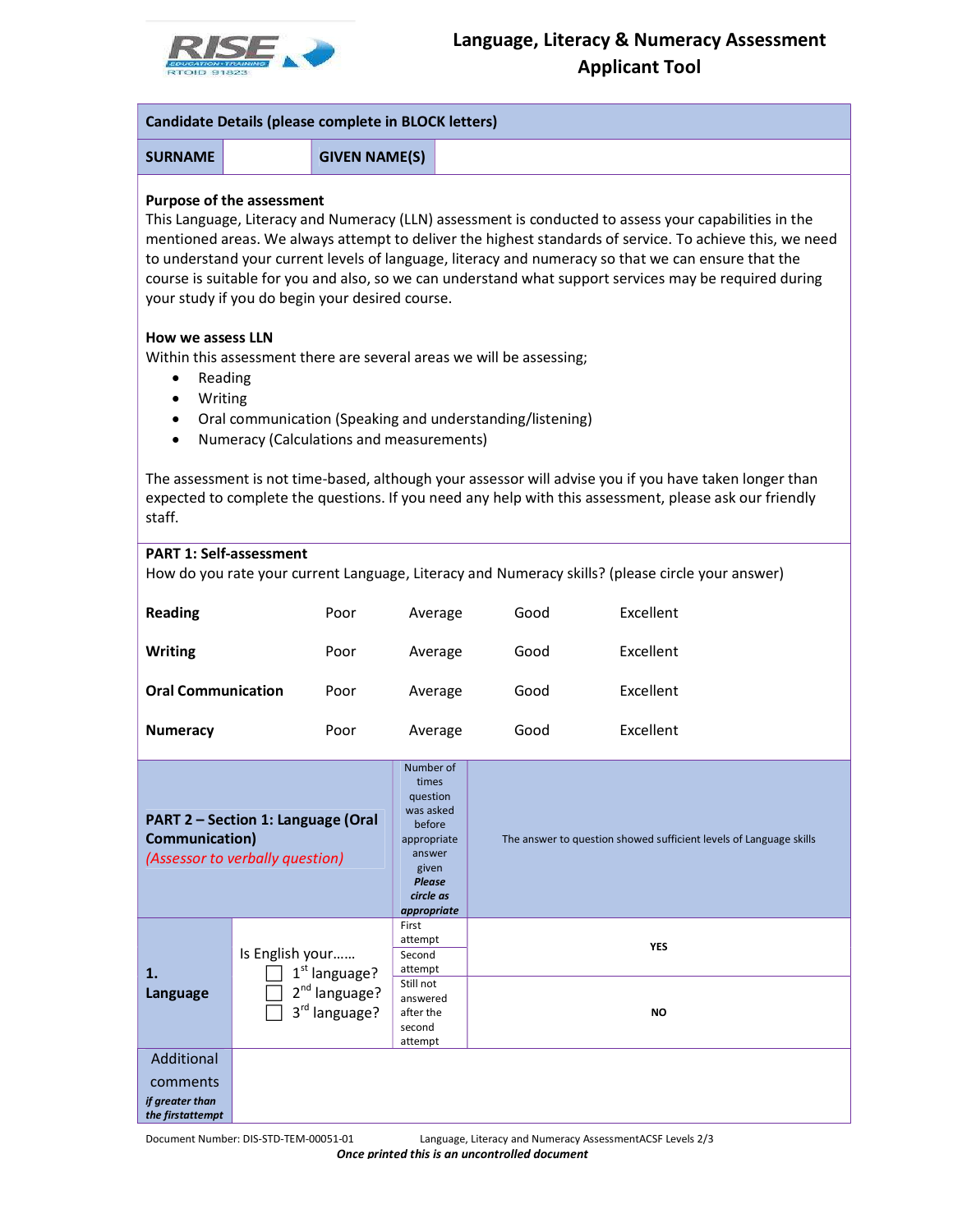

| <b>Candidate Details (please complete in BLOCK letters)</b>                             |                                            |                                          |                                                                                                                                      |                                                                                                                                   |                                                                                                                                                                                                                                                                                                                                                                                                                                    |  |  |
|-----------------------------------------------------------------------------------------|--------------------------------------------|------------------------------------------|--------------------------------------------------------------------------------------------------------------------------------------|-----------------------------------------------------------------------------------------------------------------------------------|------------------------------------------------------------------------------------------------------------------------------------------------------------------------------------------------------------------------------------------------------------------------------------------------------------------------------------------------------------------------------------------------------------------------------------|--|--|
| <b>SURNAME</b>                                                                          |                                            | <b>GIVEN NAME(S)</b>                     |                                                                                                                                      |                                                                                                                                   |                                                                                                                                                                                                                                                                                                                                                                                                                                    |  |  |
| <b>Purpose of the assessment</b><br>your study if you do begin your desired course.     |                                            |                                          |                                                                                                                                      |                                                                                                                                   | This Language, Literacy and Numeracy (LLN) assessment is conducted to assess your capabilities in the<br>mentioned areas. We always attempt to deliver the highest standards of service. To achieve this, we need<br>to understand your current levels of language, literacy and numeracy so that we can ensure that the<br>course is suitable for you and also, so we can understand what support services may be required during |  |  |
| <b>How we assess LLN</b><br>Reading<br>Writing<br>$\bullet$                             |                                            | Numeracy (Calculations and measurements) |                                                                                                                                      | Within this assessment there are several areas we will be assessing;<br>Oral communication (Speaking and understanding/listening) |                                                                                                                                                                                                                                                                                                                                                                                                                                    |  |  |
| staff.                                                                                  |                                            |                                          |                                                                                                                                      |                                                                                                                                   | The assessment is not time-based, although your assessor will advise you if you have taken longer than<br>expected to complete the questions. If you need any help with this assessment, please ask our friendly                                                                                                                                                                                                                   |  |  |
| <b>PART 1: Self-assessment</b>                                                          |                                            |                                          |                                                                                                                                      |                                                                                                                                   | How do you rate your current Language, Literacy and Numeracy skills? (please circle your answer)                                                                                                                                                                                                                                                                                                                                   |  |  |
| <b>Reading</b>                                                                          |                                            | Poor                                     | Average                                                                                                                              | Good                                                                                                                              | Excellent                                                                                                                                                                                                                                                                                                                                                                                                                          |  |  |
| Writing                                                                                 |                                            | Poor                                     | Average                                                                                                                              | Good                                                                                                                              | Excellent                                                                                                                                                                                                                                                                                                                                                                                                                          |  |  |
| <b>Oral Communication</b>                                                               |                                            | Poor                                     | Average                                                                                                                              | Good                                                                                                                              | Excellent                                                                                                                                                                                                                                                                                                                                                                                                                          |  |  |
| <b>Numeracy</b>                                                                         |                                            | Poor                                     | Average                                                                                                                              | Good                                                                                                                              | Excellent                                                                                                                                                                                                                                                                                                                                                                                                                          |  |  |
| PART 2 - Section 1: Language (Oral<br>Communication)<br>(Assessor to verbally question) |                                            |                                          | Number of<br>times<br>question<br>was asked<br>before<br>appropriate<br>answer<br>given<br><b>Please</b><br>circle as<br>appropriate |                                                                                                                                   | The answer to question showed sufficient levels of Language skills                                                                                                                                                                                                                                                                                                                                                                 |  |  |
| 1.                                                                                      |                                            | Is English your<br>$1st$ language?       |                                                                                                                                      | <b>YES</b><br>NO                                                                                                                  |                                                                                                                                                                                                                                                                                                                                                                                                                                    |  |  |
| Language                                                                                | 2 <sup>nd</sup> language?<br>3rd language? |                                          | answered<br>after the<br>second<br>attempt                                                                                           |                                                                                                                                   |                                                                                                                                                                                                                                                                                                                                                                                                                                    |  |  |
| Additional<br>comments<br>if greater than<br>the firstattempt                           |                                            |                                          |                                                                                                                                      |                                                                                                                                   |                                                                                                                                                                                                                                                                                                                                                                                                                                    |  |  |
| Document Number: DIS-STD-TEM-00051-01                                                   |                                            |                                          |                                                                                                                                      |                                                                                                                                   | Language, Literacy and Numeracy AssessmentACSF Levels 2/3                                                                                                                                                                                                                                                                                                                                                                          |  |  |

Once printed this is an uncontrolled document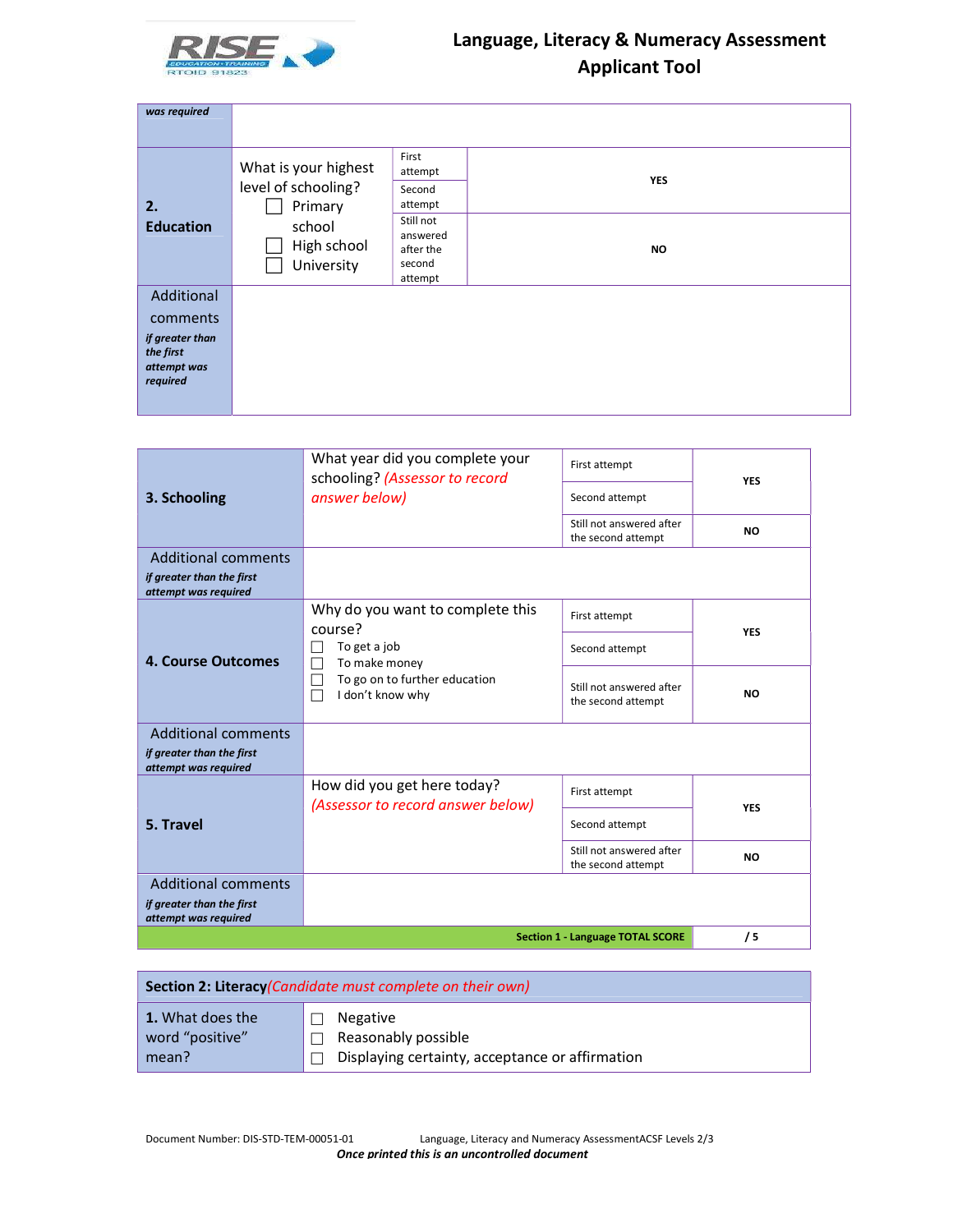

| was required                                            |                                                        |                                                         |            |
|---------------------------------------------------------|--------------------------------------------------------|---------------------------------------------------------|------------|
|                                                         |                                                        |                                                         |            |
| 2.                                                      | What is your highest<br>level of schooling?<br>Primary | First<br>attempt<br>Second<br>attempt                   | <b>YES</b> |
| <b>Education</b>                                        | school<br>High school<br>University                    | Still not<br>answered<br>after the<br>second<br>attempt | <b>NO</b>  |
| Additional                                              |                                                        |                                                         |            |
| comments                                                |                                                        |                                                         |            |
| if greater than<br>the first<br>attempt was<br>required |                                                        |                                                         |            |

|                                                                                 | What year did you complete your<br>schooling? (Assessor to record | First attempt                                  | <b>YES</b> |
|---------------------------------------------------------------------------------|-------------------------------------------------------------------|------------------------------------------------|------------|
| 3. Schooling                                                                    | answer below)                                                     | Second attempt                                 |            |
|                                                                                 |                                                                   | Still not answered after<br>the second attempt | <b>NO</b>  |
| <b>Additional comments</b><br>if greater than the first<br>attempt was required |                                                                   |                                                |            |
|                                                                                 | Why do you want to complete this<br>course?                       | First attempt                                  | <b>YES</b> |
| 4. Course Outcomes                                                              | To get a job<br>To make money                                     | Second attempt                                 |            |
|                                                                                 | To go on to further education<br>I don't know why                 | Still not answered after<br>the second attempt | <b>NO</b>  |
| <b>Additional comments</b>                                                      |                                                                   |                                                |            |
| if greater than the first<br>attempt was required                               |                                                                   |                                                |            |
|                                                                                 | How did you get here today?<br>(Assessor to record answer below)  | First attempt                                  | <b>YES</b> |
| 5. Travel                                                                       |                                                                   | Second attempt                                 |            |
|                                                                                 |                                                                   | Still not answered after<br>the second attempt | <b>NO</b>  |
| <b>Additional comments</b>                                                      |                                                                   |                                                |            |
| if greater than the first<br>attempt was required                               |                                                                   |                                                |            |
|                                                                                 |                                                                   | <b>Section 1 - Language TOTAL SCORE</b>        | /5         |

|                  | Section 2: Literacy (Candidate must complete on their own) |
|------------------|------------------------------------------------------------|
| 1. What does the | Negative                                                   |
| word "positive"  | Reasonably possible                                        |
| mean?            | Displaying certainty, acceptance or affirmation            |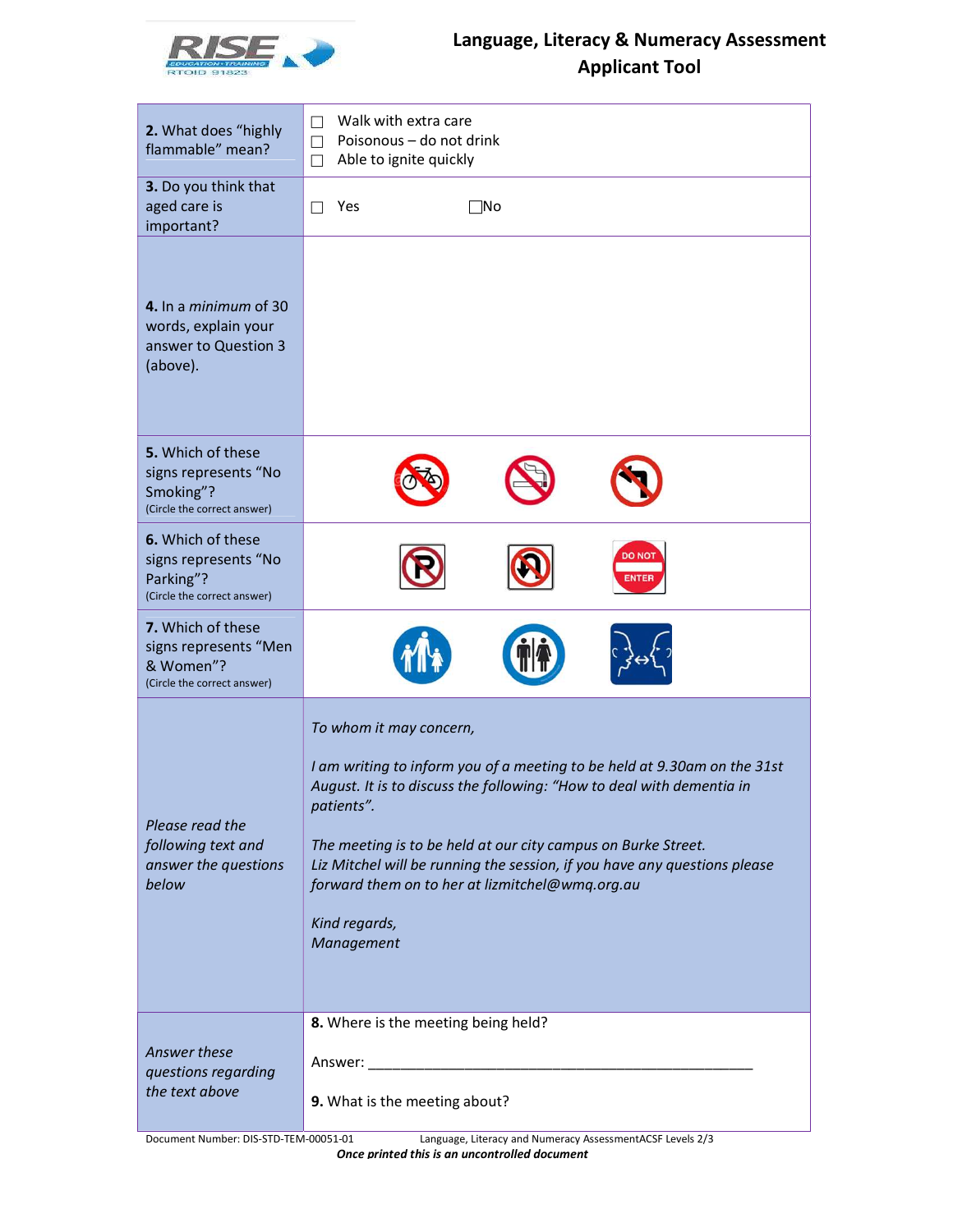

| 2. What does "highly<br>flammable" mean?                                                           | Walk with extra care<br>П<br>Poisonous - do not drink<br>П<br>Able to ignite quickly<br>$\Box$                                                                                                                                                                                                                                                                                                                             |  |  |  |  |  |  |
|----------------------------------------------------------------------------------------------------|----------------------------------------------------------------------------------------------------------------------------------------------------------------------------------------------------------------------------------------------------------------------------------------------------------------------------------------------------------------------------------------------------------------------------|--|--|--|--|--|--|
| 3. Do you think that<br>aged care is<br>important?                                                 | Yes<br>⊺No<br>П                                                                                                                                                                                                                                                                                                                                                                                                            |  |  |  |  |  |  |
| 4. In a <i>minimum</i> of 30<br>words, explain your<br>answer to Question 3<br>(above).            |                                                                                                                                                                                                                                                                                                                                                                                                                            |  |  |  |  |  |  |
| 5. Which of these<br>signs represents "No<br>Smoking"?<br>(Circle the correct answer)              |                                                                                                                                                                                                                                                                                                                                                                                                                            |  |  |  |  |  |  |
| 6. Which of these<br>signs represents "No<br>Parking"?<br>(Circle the correct answer)              | <b>DO NOT</b><br><b>ENTER</b>                                                                                                                                                                                                                                                                                                                                                                                              |  |  |  |  |  |  |
| 7. Which of these<br>signs represents "Men<br>& Women"?<br>(Circle the correct answer)             |                                                                                                                                                                                                                                                                                                                                                                                                                            |  |  |  |  |  |  |
| Please read the<br>following text and<br>answer the questions<br>below                             | To whom it may concern,<br>I am writing to inform you of a meeting to be held at 9.30am on the 31st<br>August. It is to discuss the following: "How to deal with dementia in<br>patients".<br>The meeting is to be held at our city campus on Burke Street.<br>Liz Mitchel will be running the session, if you have any questions please<br>forward them on to her at lizmitchel@wmq.org.au<br>Kind regards,<br>Management |  |  |  |  |  |  |
| Answer these<br>questions regarding<br>the text above                                              | 8. Where is the meeting being held?<br>9. What is the meeting about?                                                                                                                                                                                                                                                                                                                                                       |  |  |  |  |  |  |
| Language, Literacy and Numeracy AssessmentACSF Levels 2/3<br>Document Number: DIS-STD-TEM-00051-01 |                                                                                                                                                                                                                                                                                                                                                                                                                            |  |  |  |  |  |  |

Once printed this is an uncontrolled document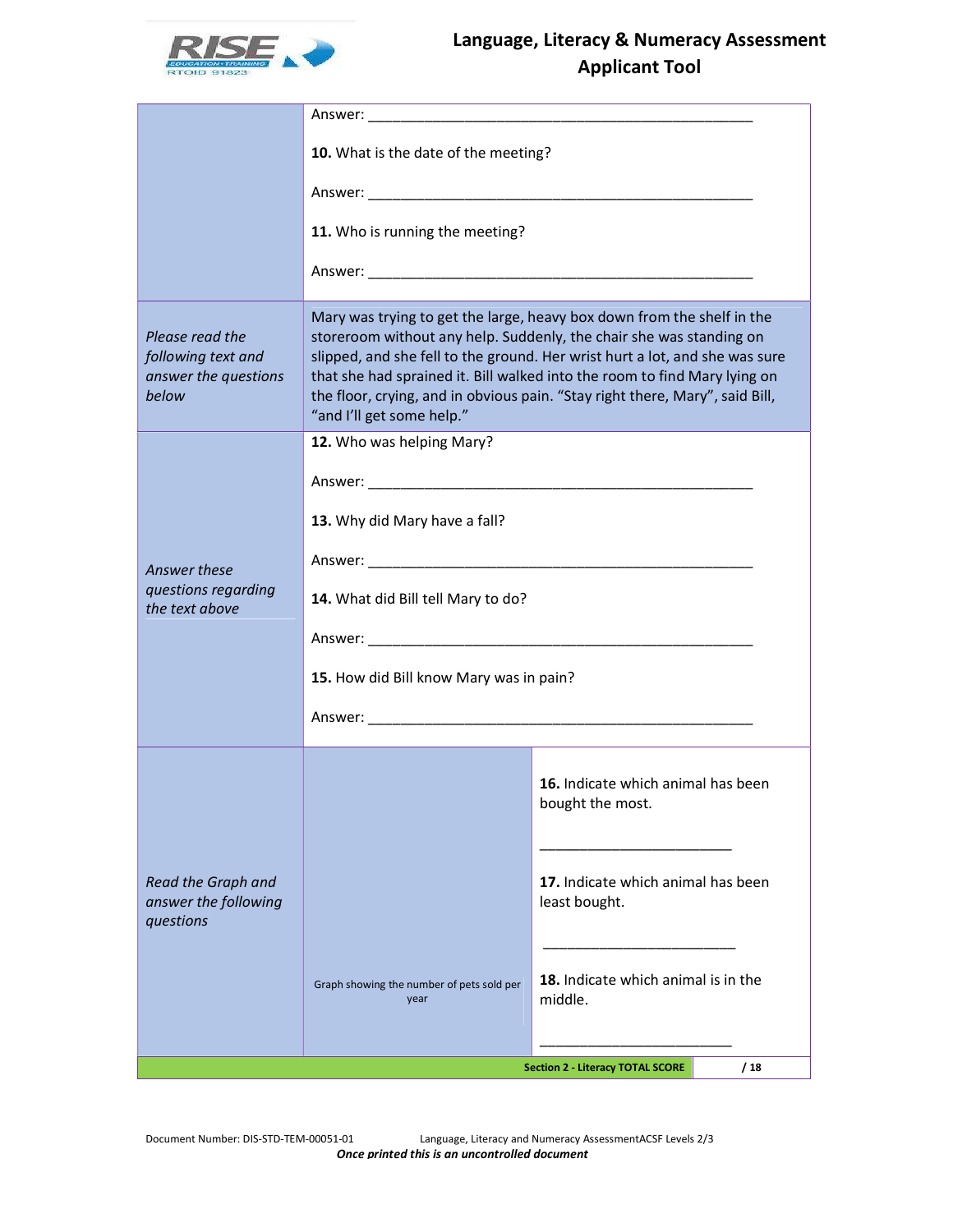

|                                                                        | 10. What is the date of the meeting?                                                                                                                                                                                                                                                                                                                                                                                   |                                                        |  |  |  |  |  |  |  |  |
|------------------------------------------------------------------------|------------------------------------------------------------------------------------------------------------------------------------------------------------------------------------------------------------------------------------------------------------------------------------------------------------------------------------------------------------------------------------------------------------------------|--------------------------------------------------------|--|--|--|--|--|--|--|--|
|                                                                        |                                                                                                                                                                                                                                                                                                                                                                                                                        |                                                        |  |  |  |  |  |  |  |  |
|                                                                        | 11. Who is running the meeting?                                                                                                                                                                                                                                                                                                                                                                                        |                                                        |  |  |  |  |  |  |  |  |
|                                                                        |                                                                                                                                                                                                                                                                                                                                                                                                                        |                                                        |  |  |  |  |  |  |  |  |
| Please read the<br>following text and<br>answer the questions<br>below | Mary was trying to get the large, heavy box down from the shelf in the<br>storeroom without any help. Suddenly, the chair she was standing on<br>slipped, and she fell to the ground. Her wrist hurt a lot, and she was sure<br>that she had sprained it. Bill walked into the room to find Mary lying on<br>the floor, crying, and in obvious pain. "Stay right there, Mary", said Bill,<br>"and I'll get some help." |                                                        |  |  |  |  |  |  |  |  |
|                                                                        | 12. Who was helping Mary?                                                                                                                                                                                                                                                                                                                                                                                              |                                                        |  |  |  |  |  |  |  |  |
|                                                                        |                                                                                                                                                                                                                                                                                                                                                                                                                        |                                                        |  |  |  |  |  |  |  |  |
|                                                                        | 13. Why did Mary have a fall?                                                                                                                                                                                                                                                                                                                                                                                          |                                                        |  |  |  |  |  |  |  |  |
| Answer these                                                           |                                                                                                                                                                                                                                                                                                                                                                                                                        |                                                        |  |  |  |  |  |  |  |  |
| questions regarding<br>the text above                                  | 14. What did Bill tell Mary to do?                                                                                                                                                                                                                                                                                                                                                                                     |                                                        |  |  |  |  |  |  |  |  |
|                                                                        |                                                                                                                                                                                                                                                                                                                                                                                                                        |                                                        |  |  |  |  |  |  |  |  |
|                                                                        | 15. How did Bill know Mary was in pain?                                                                                                                                                                                                                                                                                                                                                                                |                                                        |  |  |  |  |  |  |  |  |
|                                                                        |                                                                                                                                                                                                                                                                                                                                                                                                                        |                                                        |  |  |  |  |  |  |  |  |
|                                                                        |                                                                                                                                                                                                                                                                                                                                                                                                                        | 16. Indicate which animal has been<br>bought the most. |  |  |  |  |  |  |  |  |
| Read the Graph and<br>answer the following<br>questions                |                                                                                                                                                                                                                                                                                                                                                                                                                        | 17. Indicate which animal has been<br>least bought.    |  |  |  |  |  |  |  |  |
|                                                                        | 18. Indicate which animal is in the<br>Graph showing the number of pets sold per<br>middle.<br>year                                                                                                                                                                                                                                                                                                                    |                                                        |  |  |  |  |  |  |  |  |
|                                                                        |                                                                                                                                                                                                                                                                                                                                                                                                                        | <b>Section 2 - Literacy TOTAL SCORE</b><br>/18         |  |  |  |  |  |  |  |  |

Document Number: DIS-STD-TEM-00051-01 Language, Literacy and Numeracy AssessmentACSF Levels 2/3 Once printed this is an uncontrolled document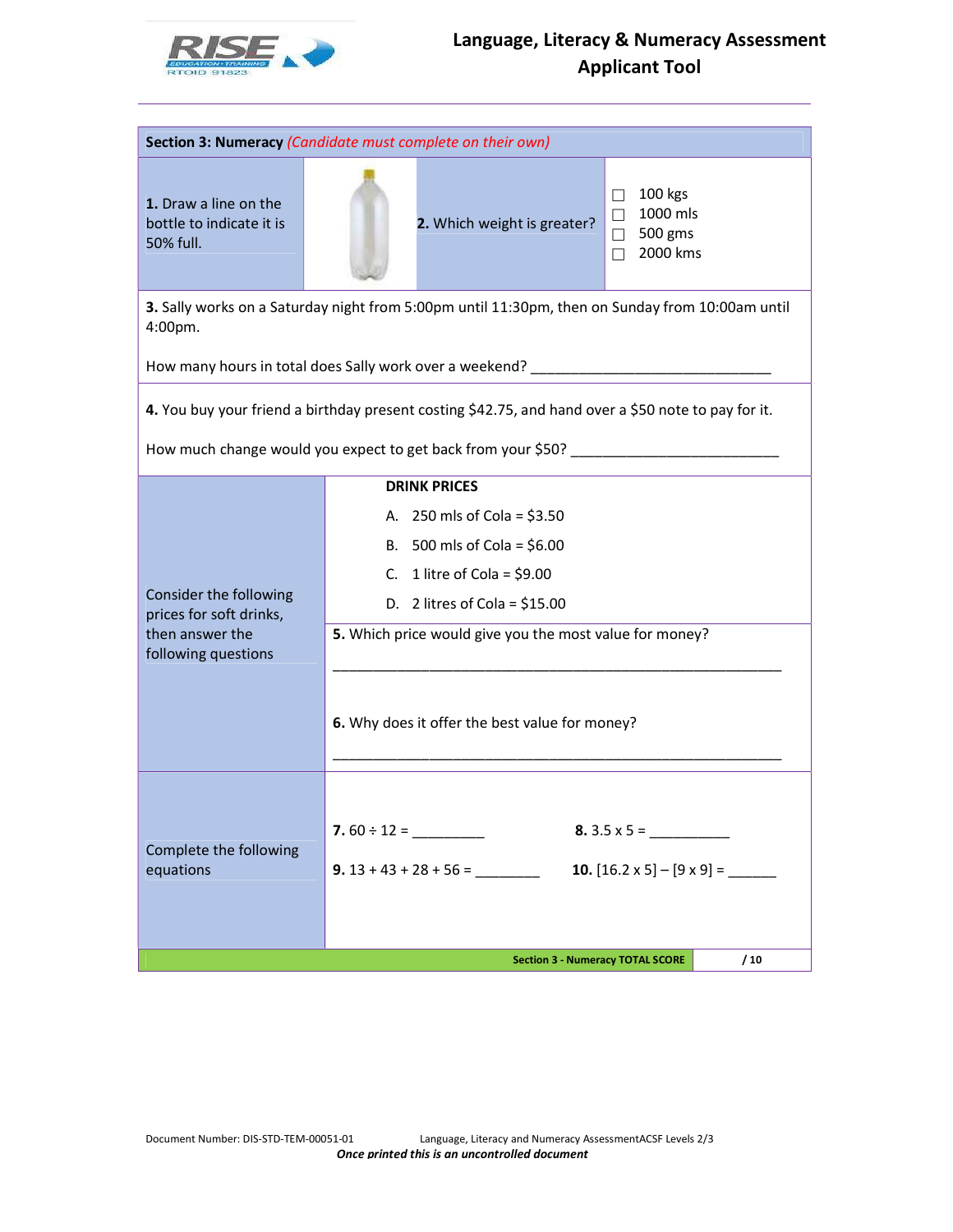

| Section 3: Numeracy (Candidate must complete on their own)                                          |                  |                                                                                                                                                                                                                                                                    |                                                                               |     |  |  |  |
|-----------------------------------------------------------------------------------------------------|------------------|--------------------------------------------------------------------------------------------------------------------------------------------------------------------------------------------------------------------------------------------------------------------|-------------------------------------------------------------------------------|-----|--|--|--|
| 1. Draw a line on the<br>bottle to indicate it is<br>50% full.                                      |                  | 2. Which weight is greater?                                                                                                                                                                                                                                        | 100 kgs<br>Ш<br>1000 mls<br>$\Box$<br>500 gms<br>$\Box$<br>2000 kms<br>$\Box$ |     |  |  |  |
| 4:00pm.                                                                                             |                  | 3. Sally works on a Saturday night from 5:00pm until 11:30pm, then on Sunday from 10:00am until                                                                                                                                                                    |                                                                               |     |  |  |  |
| How many hours in total does Sally work over a weekend? _                                           |                  |                                                                                                                                                                                                                                                                    |                                                                               |     |  |  |  |
| 4. You buy your friend a birthday present costing \$42.75, and hand over a \$50 note to pay for it. |                  |                                                                                                                                                                                                                                                                    |                                                                               |     |  |  |  |
|                                                                                                     |                  | How much change would you expect to get back from your \$50? [100] [100] [100] [100] [100] [100] [100] [100] [1                                                                                                                                                    |                                                                               |     |  |  |  |
| Consider the following<br>prices for soft drinks,<br>then answer the<br>following questions         |                  | <b>DRINK PRICES</b><br>A. 250 mls of Cola = $$3.50$<br>B. 500 mls of Cola = $$6.00$<br>C. 1 litre of Cola = $$9.00$<br>D. 2 litres of Cola = $$15.00$<br>5. Which price would give you the most value for money?<br>6. Why does it offer the best value for money? |                                                                               |     |  |  |  |
| Complete the following<br>equations                                                                 | 7.60 $\div$ 12 = | $9.13 + 43 + 28 + 56 =$                                                                                                                                                                                                                                            |                                                                               |     |  |  |  |
|                                                                                                     |                  | <b>Section 3 - Numeracy TOTAL SCORE</b>                                                                                                                                                                                                                            |                                                                               | /10 |  |  |  |

Document Number: DIS-STD-TEM-00051-01 Language, Literacy and Numeracy AssessmentACSF Levels 2/3 Once printed this is an uncontrolled document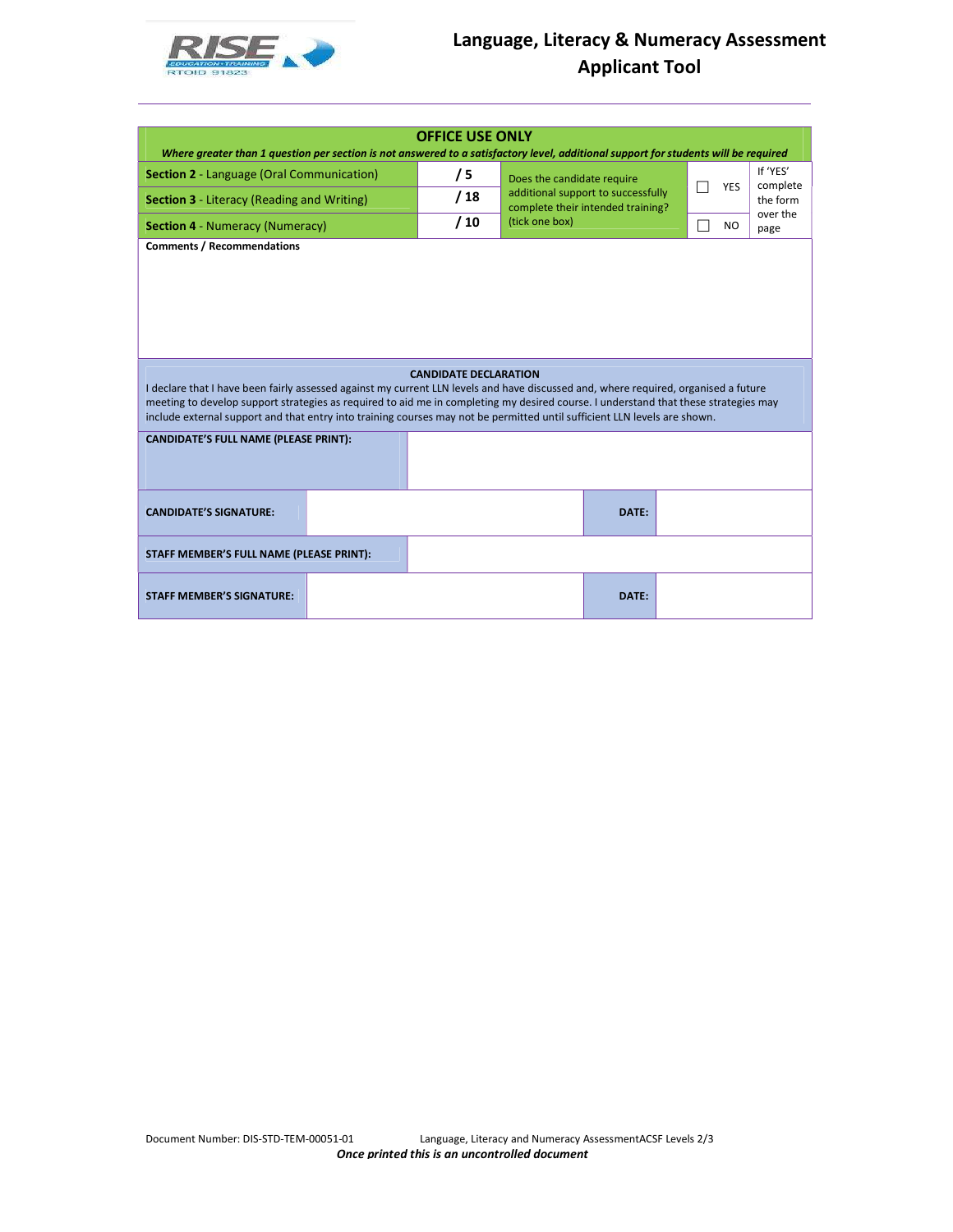

| Where greater than 1 question per section is not answered to a satisfactory level, additional support for students will be required                                                                                                                              | <b>OFFICE USE ONLY</b>       |                                                                         |        |           |                      |  |  |
|------------------------------------------------------------------------------------------------------------------------------------------------------------------------------------------------------------------------------------------------------------------|------------------------------|-------------------------------------------------------------------------|--------|-----------|----------------------|--|--|
| <b>Section 2 - Language (Oral Communication)</b>                                                                                                                                                                                                                 | /5                           | Does the candidate require                                              |        |           | If 'YES'             |  |  |
| <b>Section 3</b> - Literacy (Reading and Writing)                                                                                                                                                                                                                | /18                          | additional support to successfully<br>complete their intended training? | П      | YES       | complete<br>the form |  |  |
| <b>Section 4 - Numeracy (Numeracy)</b>                                                                                                                                                                                                                           | /10                          | (tick one box)                                                          | $\Box$ | <b>NO</b> | over the<br>page     |  |  |
| I declare that I have been fairly assessed against my current LLN levels and have discussed and, where required, organised a future                                                                                                                              | <b>CANDIDATE DECLARATION</b> |                                                                         |        |           |                      |  |  |
| meeting to develop support strategies as required to aid me in completing my desired course. I understand that these strategies may<br>include external support and that entry into training courses may not be permitted until sufficient LLN levels are shown. |                              |                                                                         |        |           |                      |  |  |
| <b>CANDIDATE'S FULL NAME (PLEASE PRINT):</b>                                                                                                                                                                                                                     |                              |                                                                         |        |           |                      |  |  |
| <b>CANDIDATE'S SIGNATURE:</b>                                                                                                                                                                                                                                    |                              | DATE:                                                                   |        |           |                      |  |  |
| STAFF MEMBER'S FULL NAME (PLEASE PRINT):                                                                                                                                                                                                                         |                              |                                                                         |        |           |                      |  |  |
| <b>STAFF MEMBER'S SIGNATURE:</b>                                                                                                                                                                                                                                 |                              | DATE:                                                                   |        |           |                      |  |  |